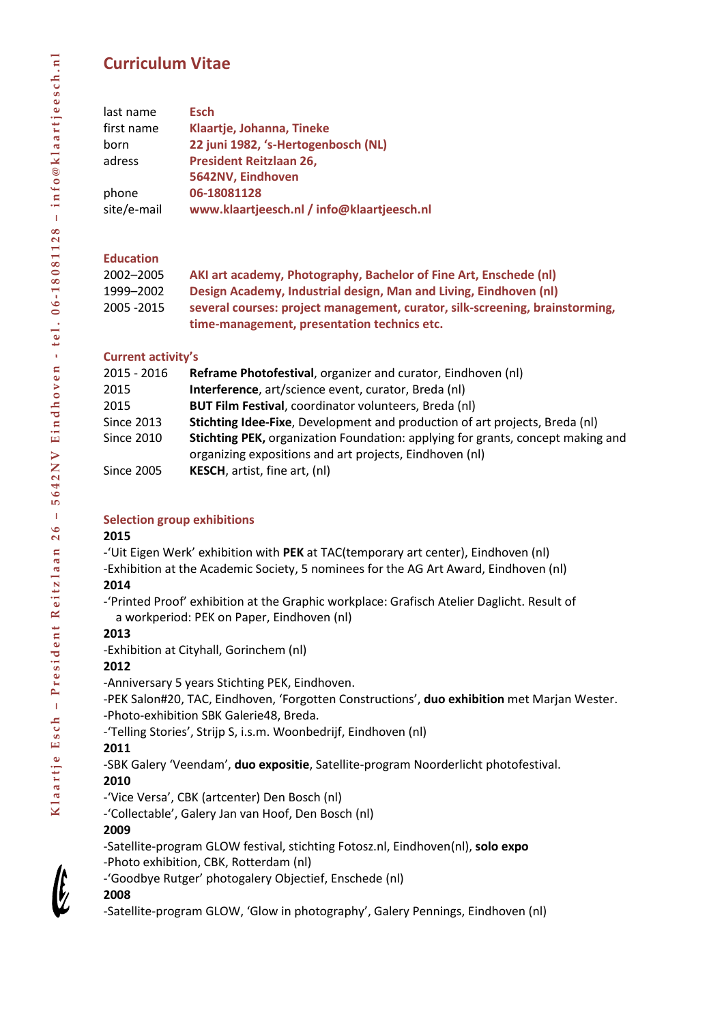# **Curriculum Vitae**

| last name   | <b>Esch</b>                                |
|-------------|--------------------------------------------|
| first name  | Klaartje, Johanna, Tineke                  |
| born        | 22 juni 1982, 's-Hertogenbosch (NL)        |
| adress      | <b>President Reitzlaan 26,</b>             |
|             | 5642NV, Eindhoven                          |
| phone       | 06-18081128                                |
| site/e-mail | www.klaartjeesch.nl / info@klaartjeesch.nl |

## **Education**

| 2002-2005   | AKI art academy, Photography, Bachelor of Fine Art, Enschede (nl)            |
|-------------|------------------------------------------------------------------------------|
| 1999–2002   | Design Academy, Industrial design, Man and Living, Eindhoven (nl)            |
| 2005 - 2015 | several courses: project management, curator, silk-screening, brainstorming, |
|             | time-management, presentation technics etc.                                  |

## **Current activity's**

| 2015 - 2016       | Reframe Photofestival, organizer and curator, Eindhoven (nl)                                                                                      |
|-------------------|---------------------------------------------------------------------------------------------------------------------------------------------------|
| 2015              | Interference, art/science event, curator, Breda (nl)                                                                                              |
| 2015              | <b>BUT Film Festival, coordinator volunteers, Breda (nl)</b>                                                                                      |
| <b>Since 2013</b> | Stichting Idee-Fixe, Development and production of art projects, Breda (nl)                                                                       |
| Since 2010        | <b>Stichting PEK, organization Foundation: applying for grants, concept making and</b><br>organizing expositions and art projects, Eindhoven (nl) |
| <b>Since 2005</b> | <b>KESCH</b> , artist, fine art, (nl)                                                                                                             |

## **Selection group exhibitions**

#### **2015**

-'Uit Eigen Werk' exhibition with **PEK** at TAC(temporary art center), Eindhoven (nl)

-Exhibition at the Academic Society, 5 nominees for the AG Art Award, Eindhoven (nl)

## **2014**

-'Printed Proof' exhibition at the Graphic workplace: Grafisch Atelier Daglicht. Result of a workperiod: PEK on Paper, Eindhoven (nl)

## **2013**

-Exhibition at Cityhall, Gorinchem (nl)

## **2012**

-Anniversary 5 years Stichting PEK, Eindhoven.

-PEK Salon#20, TAC, Eindhoven, 'Forgotten Constructions', **duo exhibition** met Marjan Wester. -Photo-exhibition SBK Galerie48, Breda.

-'Telling Stories', Strijp S, i.s.m. Woonbedrijf, Eindhoven (nl)

## **2011**

-SBK Galery 'Veendam', **duo expositie**, Satellite-program Noorderlicht photofestival.

## **2010**

-'Vice Versa', CBK (artcenter) Den Bosch (nl)

-'Collectable', Galery Jan van Hoof, Den Bosch (nl)

## **2009**

-Satellite-program GLOW festival, stichting Fotosz.nl, Eindhoven(nl), **solo expo** -Photo exhibition, CBK, Rotterdam (nl)

-'Goodbye Rutger' photogalery Objectief, Enschede (nl)

## **2008**

-Satellite-program GLOW, 'Glow in photography', Galery Pennings, Eindhoven (nl)